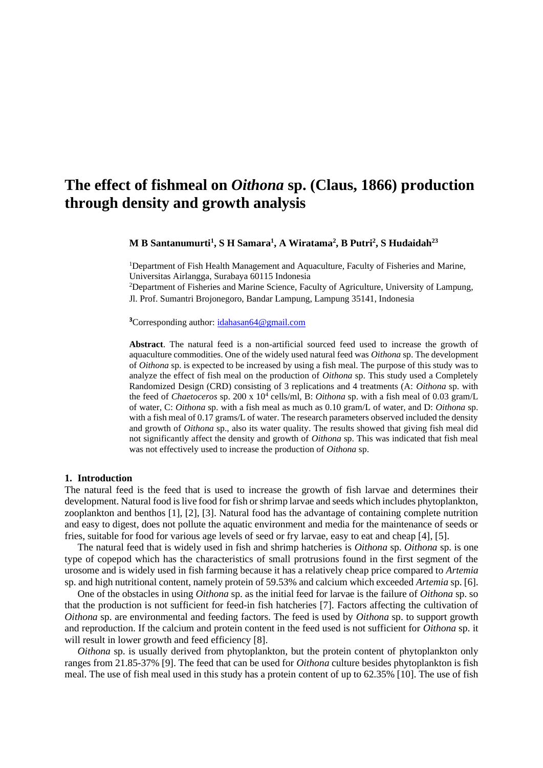# **The effect of fishmeal on** *Oithona* **sp. (Claus, 1866) production through density and growth analysis**

**M B Santanumurti<sup>1</sup> , S H Samara<sup>1</sup> , A Wiratama<sup>2</sup> , B Putri<sup>2</sup> , S Hudaidah<sup>23</sup>**

<sup>1</sup>Department of Fish Health Management and Aquaculture, Faculty of Fisheries and Marine, Universitas Airlangga, Surabaya 60115 Indonesia

<sup>2</sup>Department of Fisheries and Marine Science, Faculty of Agriculture, University of Lampung, Jl. Prof. Sumantri Brojonegoro, Bandar Lampung, Lampung 35141, Indonesia

**<sup>3</sup>**Corresponding author: [idahasan64@gmail.com](mailto:idahasan64@gmail.com)

**Abstract**. The natural feed is a non-artificial sourced feed used to increase the growth of aquaculture commodities. One of the widely used natural feed was *Oithona* sp. The development of *Oithona* sp. is expected to be increased by using a fish meal. The purpose of this study was to analyze the effect of fish meal on the production of *Oithona* sp. This study used a Completely Randomized Design (CRD) consisting of 3 replications and 4 treatments (A: *Oithona* sp. with the feed of *Chaetoceros* sp. 200 x 10<sup>4</sup> cells/ml, B: *Oithona* sp. with a fish meal of 0.03 gram/L of water, C: *Oithona* sp. with a fish meal as much as 0.10 gram/L of water, and D: *Oithona* sp. with a fish meal of 0.17 grams/L of water. The research parameters observed included the density and growth of *Oithona* sp., also its water quality. The results showed that giving fish meal did not significantly affect the density and growth of *Oithona* sp. This was indicated that fish meal was not effectively used to increase the production of *Oithona* sp.

#### **1. Introduction**

The natural feed is the feed that is used to increase the growth of fish larvae and determines their development. Natural food is live food for fish or shrimp larvae and seeds which includes phytoplankton, zooplankton and benthos [1], [2], [3]. Natural food has the advantage of containing complete nutrition and easy to digest, does not pollute the aquatic environment and media for the maintenance of seeds or fries, suitable for food for various age levels of seed or fry larvae, easy to eat and cheap [4], [5].

The natural feed that is widely used in fish and shrimp hatcheries is *Oithona* sp. *Oithona* sp. is one type of copepod which has the characteristics of small protrusions found in the first segment of the urosome and is widely used in fish farming because it has a relatively cheap price compared to *Artemia* sp. and high nutritional content, namely protein of 59.53% and calcium which exceeded *Artemia* sp. [6].

One of the obstacles in using *Oithona* sp. as the initial feed for larvae is the failure of *Oithona* sp. so that the production is not sufficient for feed-in fish hatcheries [7]. Factors affecting the cultivation of *Oithona* sp. are environmental and feeding factors. The feed is used by *Oithona* sp. to support growth and reproduction. If the calcium and protein content in the feed used is not sufficient for *Oithona* sp. it will result in lower growth and feed efficiency [8].

*Oithona* sp. is usually derived from phytoplankton, but the protein content of phytoplankton only ranges from 21.85-37% [9]. The feed that can be used for *Oithona* culture besides phytoplankton is fish meal. The use of fish meal used in this study has a protein content of up to 62.35% [10]. The use of fish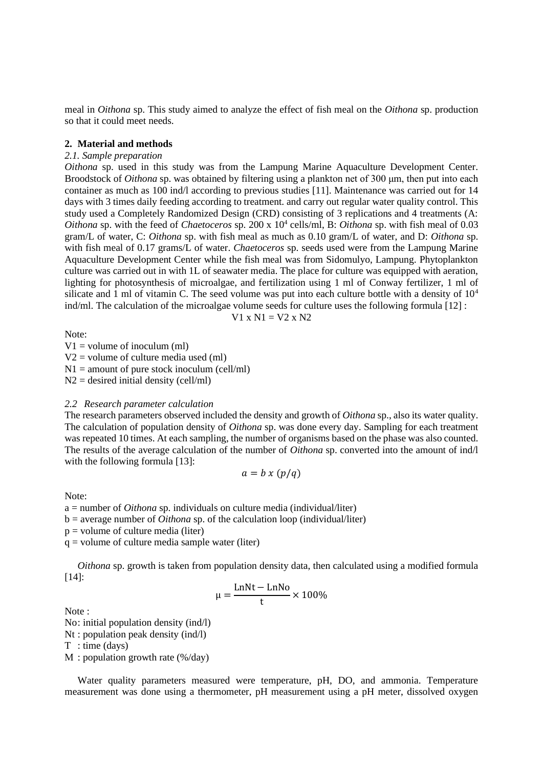meal in *Oithona* sp. This study aimed to analyze the effect of fish meal on the *Oithona* sp. production so that it could meet needs.

#### **2. Material and methods**

### *2.1. Sample preparation*

*Oithona* sp. used in this study was from the Lampung Marine Aquaculture Development Center. Broodstock of *Oithona* sp. was obtained by filtering using a plankton net of 300 μm, then put into each container as much as 100 ind/l according to previous studies [11]. Maintenance was carried out for 14 days with 3 times daily feeding according to treatment. and carry out regular water quality control. This study used a Completely Randomized Design (CRD) consisting of 3 replications and 4 treatments (A: *Oithona* sp. with the feed of *Chaetoceros* sp. 200 x 10<sup>4</sup> cells/ml, B: *Oithona* sp. with fish meal of 0.03 gram/L of water, C: *Oithona* sp. with fish meal as much as 0.10 gram/L of water, and D: *Oithona* sp. with fish meal of 0.17 grams/L of water. *Chaetoceros* sp. seeds used were from the Lampung Marine Aquaculture Development Center while the fish meal was from Sidomulyo, Lampung. Phytoplankton culture was carried out in with 1L of seawater media. The place for culture was equipped with aeration, lighting for photosynthesis of microalgae, and fertilization using 1 ml of Conway fertilizer, 1 ml of silicate and 1 ml of vitamin C. The seed volume was put into each culture bottle with a density of  $10<sup>4</sup>$ ind/ml. The calculation of the microalgae volume seeds for culture uses the following formula [12] :

$$
V1 \times N1 = V2 \times N2
$$

Note:

 $V1 =$  volume of inoculum (ml)

 $V2$  = volume of culture media used (ml)

 $N1 =$  amount of pure stock inoculum (cell/ml)

 $N2 =$  desired initial density (cell/ml)

#### *2.2 Research parameter calculation*

The research parameters observed included the density and growth of *Oithona* sp., also its water quality. The calculation of population density of *Oithona* sp. was done every day. Sampling for each treatment was repeated 10 times. At each sampling, the number of organisms based on the phase was also counted. The results of the average calculation of the number of *Oithona* sp. converted into the amount of ind/l with the following formula [13]:

$$
a = b \times (p/q)
$$

Note:

a = number of *Oithona* sp. individuals on culture media (individual/liter)

 $b =$  average number of *Oithona* sp. of the calculation loop (individual/liter)

 $p =$  volume of culture media (liter)

 $q =$  volume of culture media sample water (liter)

*Oithona* sp. growth is taken from population density data, then calculated using a modified formula [14]:

$$
\mu = \frac{\text{LnNt} - \text{LnNo}}{t} \times 100\%
$$

Note :

No: initial population density (ind/l)

Nt : population peak density (ind/l)

T : time (days)

M : population growth rate (%/day)

Water quality parameters measured were temperature, pH, DO, and ammonia. Temperature measurement was done using a thermometer, pH measurement using a pH meter, dissolved oxygen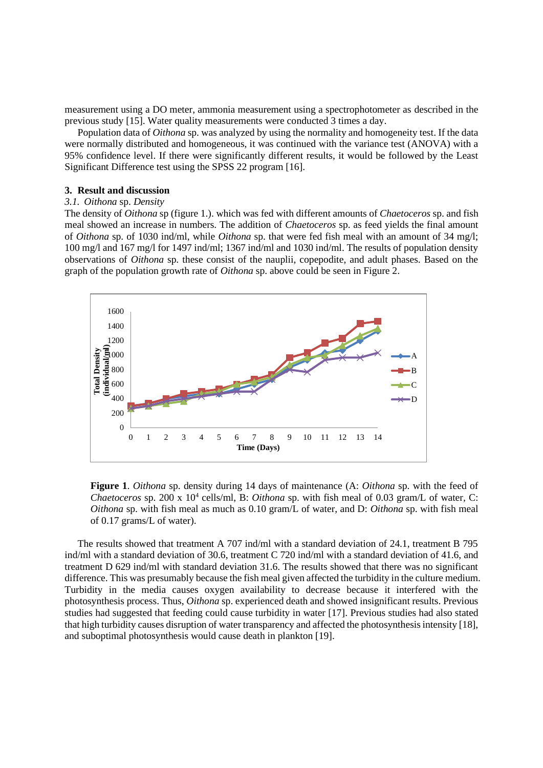measurement using a DO meter, ammonia measurement using a spectrophotometer as described in the previous study [15]. Water quality measurements were conducted 3 times a day.

Population data of *Oithona* sp. was analyzed by using the normality and homogeneity test. If the data were normally distributed and homogeneous, it was continued with the variance test (ANOVA) with a 95% confidence level. If there were significantly different results, it would be followed by the Least Significant Difference test using the SPSS 22 program [16].

#### **3. Result and discussion**

## *3.1. Oithona* sp. *Density*

The density of *Oithona* sp (figure 1.). which was fed with different amounts of *Chaetoceros* sp. and fish meal showed an increase in numbers. The addition of *Chaetoceros* sp. as feed yields the final amount of *Oithona* sp. of 1030 ind/ml, while *Oithona* sp. that were fed fish meal with an amount of 34 mg/l; 100 mg/l and 167 mg/l for 1497 ind/ml; 1367 ind/ml and 1030 ind/ml. The results of population density observations of *Oithona* sp. these consist of the nauplii, copepodite, and adult phases. Based on the graph of the population growth rate of *Oithona* sp. above could be seen in Figure 2.



**Figure 1**. *Oithona* sp. density during 14 days of maintenance (A: *Oithona* sp. with the feed of *Chaetoceros* sp. 200 x 10<sup>4</sup> cells/ml, B: *Oithona* sp. with fish meal of 0.03 gram/L of water, C: *Oithona* sp. with fish meal as much as 0.10 gram/L of water, and D: *Oithona* sp. with fish meal of 0.17 grams/L of water).

The results showed that treatment A 707 ind/ml with a standard deviation of 24.1, treatment B 795 ind/ml with a standard deviation of 30.6, treatment C 720 ind/ml with a standard deviation of 41.6, and treatment D 629 ind/ml with standard deviation 31.6. The results showed that there was no significant difference. This was presumably because the fish meal given affected the turbidity in the culture medium. Turbidity in the media causes oxygen availability to decrease because it interfered with the photosynthesis process. Thus, *Oithona* sp. experienced death and showed insignificant results. Previous studies had suggested that feeding could cause turbidity in water [17]. Previous studies had also stated that high turbidity causes disruption of water transparency and affected the photosynthesis intensity [18], and suboptimal photosynthesis would cause death in plankton [19].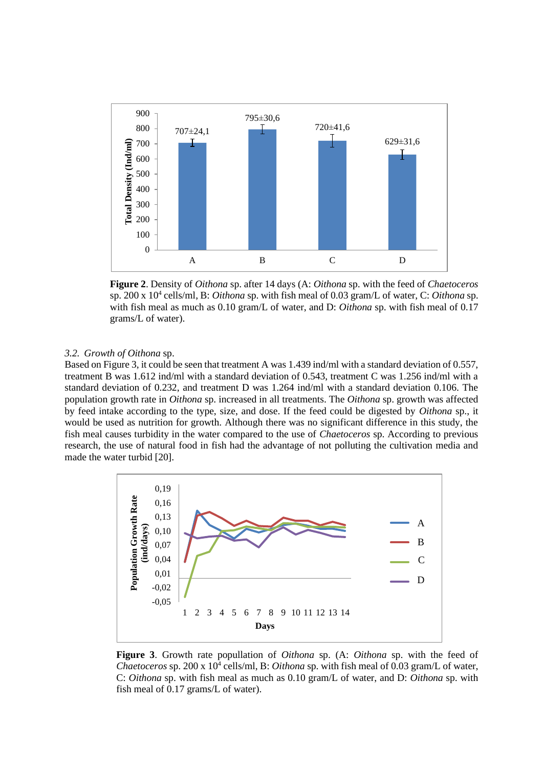

**Figure 2**. Density of *Oithona* sp. after 14 days (A: *Oithona* sp. with the feed of *Chaetoceros*  sp. 200 x 10<sup>4</sup> cells/ml, B: *Oithona* sp. with fish meal of 0.03 gram/L of water, C: *Oithona* sp. with fish meal as much as 0.10 gram/L of water, and D: *Oithona* sp. with fish meal of 0.17 grams/L of water).

#### *3.2. Growth of Oithona* sp.

Based on Figure 3, it could be seen that treatment A was 1.439 ind/ml with a standard deviation of 0.557, treatment B was 1.612 ind/ml with a standard deviation of 0.543, treatment C was 1.256 ind/ml with a standard deviation of 0.232, and treatment D was 1.264 ind/ml with a standard deviation 0.106. The population growth rate in *Oithona* sp. increased in all treatments. The *Oithona* sp. growth was affected by feed intake according to the type, size, and dose. If the feed could be digested by *Oithona* sp., it would be used as nutrition for growth. Although there was no significant difference in this study, the fish meal causes turbidity in the water compared to the use of *Chaetoceros* sp. According to previous research, the use of natural food in fish had the advantage of not polluting the cultivation media and made the water turbid [20].



**Figure 3**. Growth rate popullation of *Oithona* sp. (A: *Oithona* sp. with the feed of *Chaetoceros* sp. 200 x 10<sup>4</sup> cells/ml, B: *Oithona* sp. with fish meal of 0.03 gram/L of water, C: *Oithona* sp. with fish meal as much as 0.10 gram/L of water, and D: *Oithona* sp. with fish meal of 0.17 grams/L of water).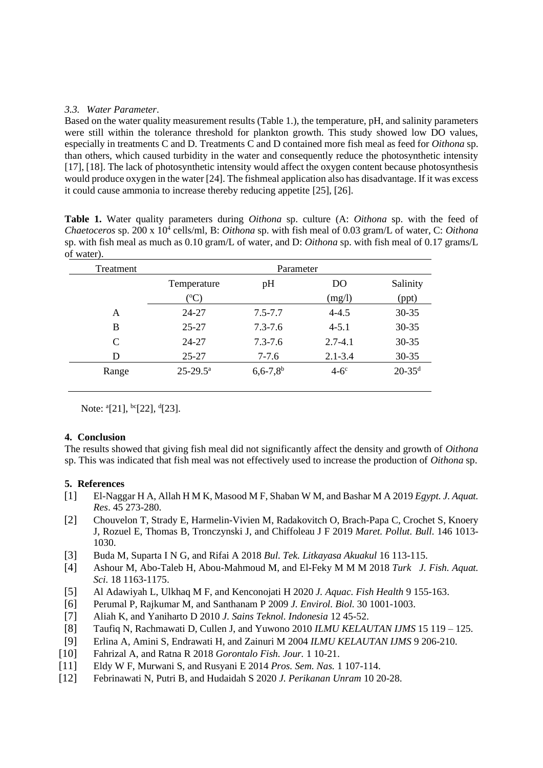## *3.3. Water Parameter*.

Based on the water quality measurement results (Table 1.), the temperature, pH, and salinity parameters were still within the tolerance threshold for plankton growth. This study showed low DO values, especially in treatments C and D. Treatments C and D contained more fish meal as feed for *Oithona* sp. than others, which caused turbidity in the water and consequently reduce the photosynthetic intensity [17], [18]. The lack of photosynthetic intensity would affect the oxygen content because photosynthesis would produce oxygen in the water [24]. The fishmeal application also has disadvantage. If it was excess it could cause ammonia to increase thereby reducing appetite [25], [26].

**Table 1.** Water quality parameters during *Oithona* sp. culture (A: *Oithona* sp. with the feed of *Chaetoceros* sp. 200 x 10<sup>4</sup> cells/ml, B: *Oithona* sp. with fish meal of 0.03 gram/L of water, C: *Oithona* sp. with fish meal as much as 0.10 gram/L of water, and D: *Oithona* sp. with fish meal of 0.17 grams/L of water).

| Treatment | Parameter              |                          |             |                        |
|-----------|------------------------|--------------------------|-------------|------------------------|
|           | Temperature            | pH                       | DO          | Salinity               |
|           | $({}^oC)$              |                          | (mg/l)      | (ppt)                  |
| A         | 24-27                  | $7.5 - 7.7$              | $4 - 4.5$   | $30 - 35$              |
| B         | $25 - 27$              | $7.3 - 7.6$              | $4 - 5.1$   | $30 - 35$              |
| C         | $24 - 27$              | $7.3 - 7.6$              | $2.7 - 4.1$ | $30 - 35$              |
| D         | $25 - 27$              | $7-7.6$                  | $2.1 - 3.4$ | $30 - 35$              |
| Range     | $25 - 29.5^{\text{a}}$ | $6,6 - 7,8$ <sup>b</sup> | $4-6^\circ$ | $20 - 35$ <sup>d</sup> |

Note: <sup>a</sup>[21], <sup>bc</sup>[22], <sup>d</sup>[23].

## **4. Conclusion**

The results showed that giving fish meal did not significantly affect the density and growth of *Oithona* sp. This was indicated that fish meal was not effectively used to increase the production of *Oithona* sp.

## **5. References**

- [1] El-Naggar H A, Allah H M K, Masood M F, Shaban W M, and Bashar M A 2019 *Egypt. J. Aquat. Res*. 45 273-280.
- [2] Chouvelon T, Strady E, Harmelin-Vivien M, Radakovitch O, Brach-Papa C, Crochet S, Knoery J, Rozuel E, Thomas B, Tronczynski J, and Chiffoleau J F 2019 *Maret. Pollut. Bull.* 146 1013- 1030.
- [3] Buda M, Suparta I N G, and Rifai A 2018 *Bul. Tek. Litkayasa Akuakul* 16 113-115.
- [4] Ashour M, Abo-Taleb H, Abou-Mahmoud M, and El-Feky M M M 2018 *Turk J. Fish. Aquat. Sci.* 18 1163-1175.
- [5] Al Adawiyah L, Ulkhaq M F, and Kenconojati H 2020 *J. Aquac. Fish Health* 9 155-163.
- [6] Perumal P, Rajkumar M, and Santhanam P 2009 *J. Envirol. Biol.* 30 1001-1003.
- [7] Aliah K, and Yaniharto D 2010 *J. Sains Teknol. Indonesia* 12 45-52.
- [8] Taufiq N, Rachmawati D, Cullen J, and Yuwono 2010 *ILMU KELAUTAN IJMS* 15 119 125.
- [9] Erlina A, Amini S, Endrawati H, and Zainuri M 2004 *ILMU KELAUTAN IJMS* 9 206-210.
- [10] Fahrizal A, and Ratna R 2018 *Gorontalo Fish. Jour.* 1 10-21.
- [11] Eldy W F, Murwani S, and Rusyani E 2014 *Pros. Sem. Nas.* 1 107-114.
- [12] Febrinawati N, Putri B, and Hudaidah S 2020 *J. Perikanan Unram* 10 20-28.